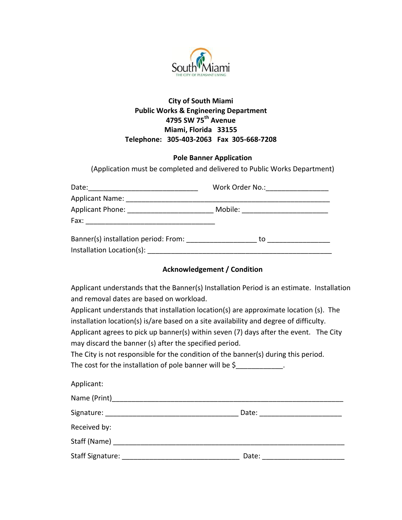

### **City of South Miami Public Works & Engineering Department 4795 SW 75th Avenue Miami, Florida 33155 Telephone: 305-403-2063 Fax 305-668-7208**

#### **Pole Banner Application**

(Application must be completed and delivered to Public Works Department)

| Date:                                | Work Order No.: _______________ |  |
|--------------------------------------|---------------------------------|--|
| Applicant Name:                      |                                 |  |
| Applicant Phone: __________________  | Mobile:                         |  |
| Fax:                                 |                                 |  |
| Banner(s) installation period: From: | to                              |  |
| Installation Location(s):            |                                 |  |

#### **Acknowledgement / Condition**

Applicant understands that the Banner(s) Installation Period is an estimate. Installation and removal dates are based on workload.

Applicant understands that installation location(s) are approximate location (s). The installation location(s) is/are based on a site availability and degree of difficulty.

Applicant agrees to pick up banner(s) within seven (7) days after the event. The City may discard the banner (s) after the specified period.

The City is not responsible for the condition of the banner(s) during this period.

The cost for the installation of pole banner will be  $\zeta$ 

| Applicant:       |       |  |
|------------------|-------|--|
|                  |       |  |
| Signature:       | Date: |  |
| Received by:     |       |  |
|                  |       |  |
| Staff Signature: | Date: |  |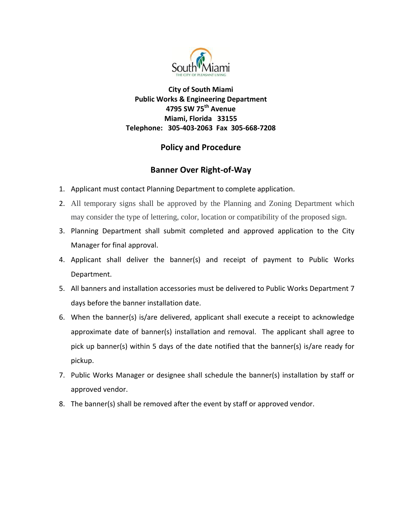

**City of South Miami Public Works & Engineering Department 4795 SW 75th Avenue Miami, Florida 33155 Telephone: 305-403-2063 Fax 305-668-7208**

# **Policy and Procedure**

## **Banner Over Right-of-Way**

- 1. Applicant must contact Planning Department to complete application.
- 2. All temporary signs shall be approved by the Planning and Zoning Department which may consider the type of lettering, color, location or compatibility of the proposed sign.
- 3. Planning Department shall submit completed and approved application to the City Manager for final approval.
- 4. Applicant shall deliver the banner(s) and receipt of payment to Public Works Department.
- 5. All banners and installation accessories must be delivered to Public Works Department 7 days before the banner installation date.
- 6. When the banner(s) is/are delivered, applicant shall execute a receipt to acknowledge approximate date of banner(s) installation and removal. The applicant shall agree to pick up banner(s) within 5 days of the date notified that the banner(s) is/are ready for pickup.
- 7. Public Works Manager or designee shall schedule the banner(s) installation by staff or approved vendor.
- 8. The banner(s) shall be removed after the event by staff or approved vendor.